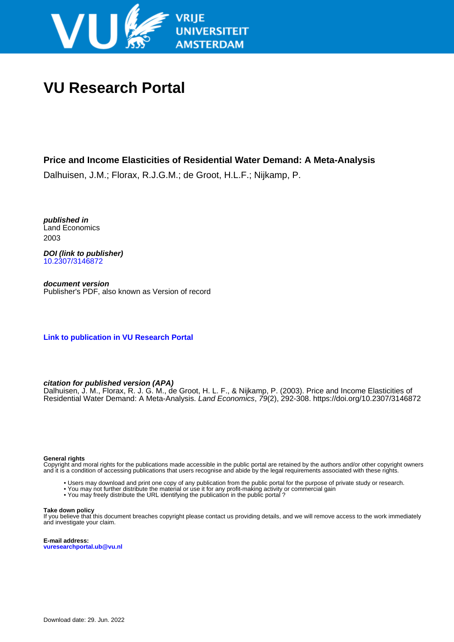

# **VU Research Portal**

## **Price and Income Elasticities of Residential Water Demand: A Meta-Analysis**

Dalhuisen, J.M.; Florax, R.J.G.M.; de Groot, H.L.F.; Nijkamp, P.

**published in** Land Economics 2003

**DOI (link to publisher)** [10.2307/3146872](https://doi.org/10.2307/3146872)

**document version** Publisher's PDF, also known as Version of record

**[Link to publication in VU Research Portal](https://research.vu.nl/en/publications/01a0ac81-ea0c-4bd8-88cf-04ea297b5bf8)**

## **citation for published version (APA)**

Dalhuisen, J. M., Florax, R. J. G. M., de Groot, H. L. F., & Nijkamp, P. (2003). Price and Income Elasticities of Residential Water Demand: A Meta-Analysis. Land Economics, 79(2), 292-308.<https://doi.org/10.2307/3146872>

#### **General rights**

Copyright and moral rights for the publications made accessible in the public portal are retained by the authors and/or other copyright owners and it is a condition of accessing publications that users recognise and abide by the legal requirements associated with these rights.

- Users may download and print one copy of any publication from the public portal for the purpose of private study or research.
- You may not further distribute the material or use it for any profit-making activity or commercial gain
- You may freely distribute the URL identifying the publication in the public portal ?

#### **Take down policy**

If you believe that this document breaches copyright please contact us providing details, and we will remove access to the work immediately and investigate your claim.

**E-mail address: vuresearchportal.ub@vu.nl**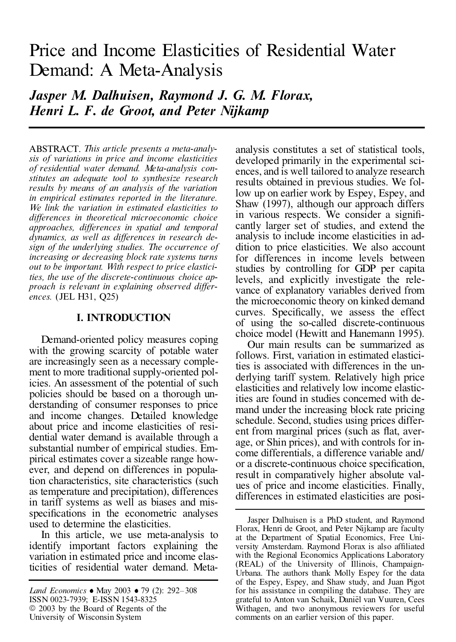## Price and Income Elasticities of Residential Water Demand: A Meta-Analysis

*Jasper M. Dalhuisen, Raymond J. G. M. Florax, Henri L. F. de Groot, and Peter Nijkamp*

ABSTRACT. *This article presents a meta-analysis of variations in price and income elasticities of residential water demand. Meta-analysis con stitutes an adequate tool to synthesize research results by means of an analysis of the variation in empirical estimates reported in the literature. We link the variation in estimated elasticities to differences in theoretical microeconomic choice approaches, differences in spatial and temporal dynamics, as well as differences in research design of the underlying studies. The occurrence of increasing or decreasing block rate systems turns out to be important. With respect to price elasticities, the use of the discrete-continuous choice approach is relevant in explaining observed differ ences.* (JEL H31, Q25)

## **I. INTRODUCTION**

Demand-oriented policy measures coping with the growing scarcity of potable water are increasingly seen as a necessary complement to more traditional supply-oriented policies. An assessment of the potential of such policies should be based on a thorough understanding of consumer responses to price and income changes. Detailed knowledge about price and income elasticities of residential water demand is available through a substantial number of empirical studies. Empirical estimates cover a sizeable range however, and depend on differences in population characteristics, site characteristics (such as temperature and precipitation), differences in tariff systems as well as biases and misspecifications in the econometric analyses used to determine the elasticities.

In this article, we use meta-analysis to identify important factors explaining the variation in estimated price and income elasticities of residential water demand. Metaanalysis constitutes a set of statistical tools, developed primarily in the experimental sciences, and is well tailored to analyze research results obtained in previous studies. We follow up on earlier work by Espey, Espey, and Shaw (1997), although our approach differs in various respects. We consider a significantly larger set of studies, and extend the analysis to include income elasticities in addition to price elasticities. We also account for differences in income levels between studies by controlling for GDP per capita levels, and explicitly investigate the relevance of explanatory variables derived from the microeconomic theory on kinked demand curves. Specifically, we assess the effect of using the so-called discrete-continuous choice model (Hewitt and Hanemann 1995).

Our main results can be summarized as follows. First, variation in estimated elasticities is associated with differences in the underlying tariff system. Relatively high price elasticities and relatively low income elasticities are found in studies concerned with demand under the increasing block rate pricing schedule. Second, studies using prices different from marginal prices (such as flat, average, or Shin prices), and with controls for income differentials, a difference variable and/ or a discrete-continuous choice specification, result in comparatively higher absolute values of price and income elasticities. Finally, differences in estimated elasticities are posi-

*Land Economics* • May 2003 • 79 (2): 292-308 ISSN 0023-7939; E-ISSN 1543-8325 ã 2003 by the Board of Regents of the University of Wisconsin System

Jasper Dalhuisen is a PhD student, and Raymond Florax, Henri de Groot, and Peter Nijkamp are faculty at the Department of Spatial Economics, Free University Amsterdam. Raymond Florax is also affiliated with the Regional Economics Applications Laboratory (REAL) of the University of Illinois, Champaign-Urbana. The authors thank Molly Espey for the data of the Espey, Espey, and Shaw study, and Juan Pigot for his assistance in compiling the database. They are grateful to Anton van Schaik, Daniël van Vuuren, Cees Withagen, and two anonymous reviewers for useful comments on an earlier version of this paper.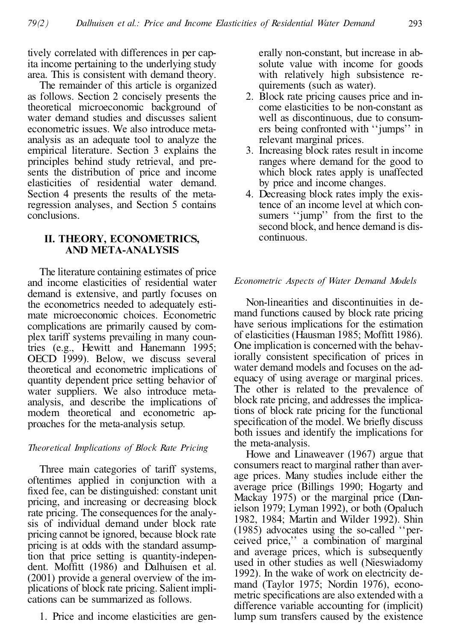tively correlated with differences in per capita income pertaining to the underlying study area. This is consistent with demand theory.

The remainder of this article is organized as follows. Section 2 concisely presents the theoretical microeconomic background of water demand studies and discusses salient econometric issues. We also introduce meta analysis as an adequate tool to analyze the empirical literature. Section 3 explains the principles behind study retrieval, and presents the distribution of price and income elasticities of residential water demand. Section 4 presents the results of the meta regression analyses, and Section 5 contains conclusions.

#### **II. THEORY, ECONOMETRICS, AND META-ANALYSIS**

The literature containing estimates of price and income elasticities of residential water demand is extensive, and partly focuses on the econometrics needed to adequately estimate microeconomic choices. Econometric complications are primarily caused by complex tariff systems prevailing in many countries (e.g., Hewitt and Hanemann 1995; OECD 1999). Below, we discuss several theoretical and econometric implications of quantity dependent price setting behavior of water suppliers. We also introduce meta analysis, and describe the implications of modern theoretical and econometric approaches for the meta-analysis setup.

#### *Theoretical Implications of Block Rate Pricing*

Three main categories of tariff systems, oftentimes applied in conjunction with a fixed fee, can be distinguished: constant unit pricing, and increasing or decreasing block rate pricing. The consequences for the analysis of individual demand under block rate pricing cannot be ignored, because block rate pricing is at odds with the standard assumption that price setting is quantity-independent. Moffitt (1986) and Dalhuisen et al. (2001) provide a general overview of the implications of block rate pricing. Salient implications can be summarized as follows.

1. Price and income elasticities are gen-

erally non-constant, but increase in absolute value with income for goods with relatively high subsistence requirements (such as water).

- 2. Block rate pricing causes price and income elasticities to be non-constant as well as discontinuous, due to consumers being confronted with ''jumps'' in relevant marginal prices.
- 3. Increasing block rates result in income ranges where demand for the good to which block rates apply is unaffected by price and income changes.
- 4. Decreasing block rates imply the existence of an income level at which consumers "jump" from the first to the second block, and hence demand is discontinuous.

#### *Econometric Aspects of Water Demand Models*

Non-linearities and discontinuities in demand functions caused by block rate pricing have serious implications for the estimation of elasticities (Hausman 1985; Moffitt 1986). One implication is concerned with the behaviorally consistent specification of prices in water demand models and focuses on the adequacy of using average or marginal prices. The other is related to the prevalence of block rate pricing, and addresses the implications of block rate pricing for the functional specification of the model. We briefly discuss both issues and identify the implications for the meta-analysis.

Howe and Linaweaver (1967) argue that consumers react to marginal rather than average prices. Many studies include either the average price (Billings 1990; Hogarty and Mackay 1975) or the marginal price (Danielson 1979; Lyman 1992), or both (Opaluch 1982, 1984; Martin and Wilder 1992). Shin (1985) advocates using the so-called ''perceived price,'' a combination of marginal and average prices, which is subsequently used in other studies as well (Nieswiadomy 1992). In the wake of work on electricity demand (Taylor 1975; Nordin 1976), econometric specifications are also extended with a difference variable accounting for (implicit) lump sum transfers caused by the existence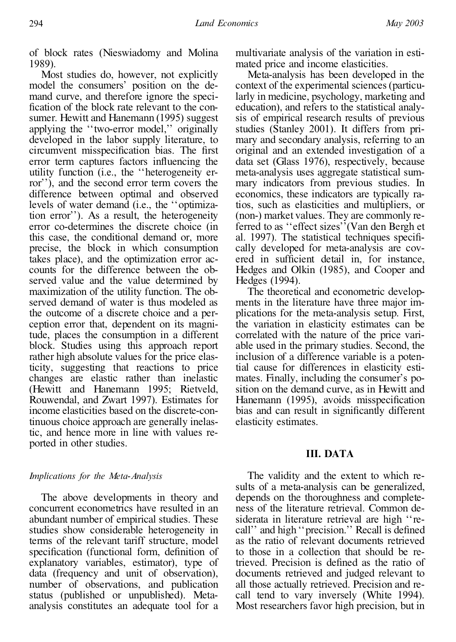of block rates (Nieswiadomy and Molina 1989).

Most studies do, however, not explicitly model the consumers' position on the demand curve, and therefore ignore the speci fication of the block rate relevant to the consumer. Hewitt and Hanemann (1995) suggest applying the ''two-error model,'' originally developed in the labor supply literature, to circumvent misspecification bias. The first error term captures factors influencing the utility function (i.e., the ''heterogeneity er ror''), and the second error term covers the difference between optimal and observed levels of water demand (i.e., the ''optimization error''). As a result, the heterogeneity error co-determines the discrete choice (in this case, the conditional demand or, more precise, the block in which consumption takes place), and the optimization error accounts for the difference between the observed value and the value determined by maximization of the utility function. The observed demand of water is thus modeled as the outcome of a discrete choice and a perception error that, dependent on its magnitude, places the consumption in a different block. Studies using this approach report rather high absolute values for the price elasticity, suggesting that reactions to price changes are elastic rather than inelastic (Hewitt and Hanemann 1995; Rietveld, Rouwendal, and Zwart 1997). Estimates for income elasticities based on the discrete-continuous choice approach are generally inelastic, and hence more in line with values reported in other studies.

#### *Implications for the Meta-Analysis*

The above developments in theory and concurrent econometrics have resulted in an abundant number of empirical studies. These studies show considerable heterogeneity in terms of the relevant tariff structure, model specification (functional form, definition of explanatory variables, estimator), type of data (frequency and unit of observation), number of observations, and publication status (published or unpublished). Meta analysis constitutes an adequate tool for a

multivariate analysis of the variation in estimated price and income elasticities.

Meta-analysis has been developed in the context of the experimental sciences (particularly in medicine, psychology, marketing and education), and refers to the statistical analysis of empirical research results of previous studies (Stanley 2001). It differs from primary and secondary analysis, referring to an original and an extended investigation of a data set (Glass 1976), respectively, because meta-analysis uses aggregate statistical summary indicators from previous studies. In economics, these indicators are typically ratios, such as elasticities and multipliers, or (non-) market values. They are commonly referred to as ''effect sizes''(Van den Bergh et al. 1997). The statistical techniques specifically developed for meta-analysis are covered in sufficient detail in, for instance, Hedges and Olkin (1985), and Cooper and Hedges (1994).

The theoretical and econometric developments in the literature have three major implications for the meta-analysis setup. First, the variation in elasticity estimates can be correlated with the nature of the price variable used in the primary studies. Second, the inclusion of a difference variable is a potential cause for differences in elasticity estimates. Finally, including the consumer's position on the demand curve, as in Hewitt and Hanemann (1995), avoids misspecification bias and can result in significantly different elasticity estimates.

#### **III. DATA**

The validity and the extent to which results of a meta-analysis can be generalized, depends on the thoroughness and completeness of the literature retrieval. Common desiderata in literature retrieval are high ''recall'' and high "precision." Recall is defined as the ratio of relevant documents retrieved to those in a collection that should be retrieved. Precision is defined as the ratio of documents retrieved and judged relevant to all those actually retrieved. Precision and recall tend to vary inversely (White 1994). Most researchers favor high precision, but in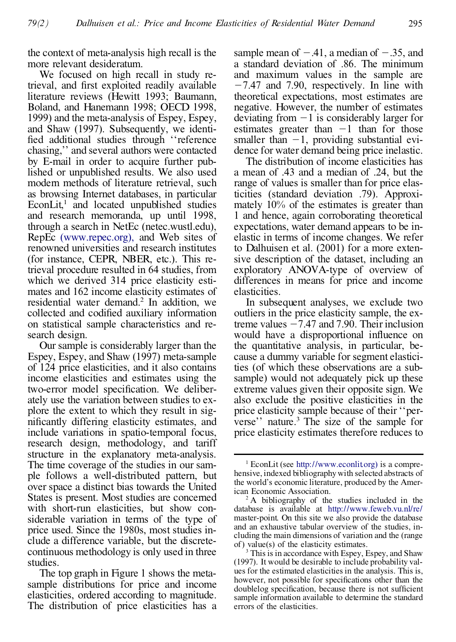the context of meta-analysis high recall is the more relevant desideratum.

We focused on high recall in study retrieval, and first exploited readily available literature reviews (Hewitt 1993; Baumann, Boland, and Hanemann 1998; OECD 1998, 1999) and the meta-analysis of Espey, Espey, and Shaw (1997). Subsequently, we identi fied additional studies through "reference" chasing,'' and several authors were contacted by E-mail in order to acquire further published or unpublished results. We also used modern methods of literature retrieval, such as browsing Internet databases, in particular EconLit, $<sup>1</sup>$  and located unpublished studies</sup> and research memoranda, up until 1998, through a search in NetEc (netec.wustl.edu), RepEc [\(www.repec.org\),](http://www.repec.org) and Web sites of renowned universities and research institutes (for instance, CEPR, NBER, etc.). This retrieval procedure resulted in 64 studies, from which we derived 314 price elasticity estimates and 162 income elasticity estimates of residential water demand.<sup>2</sup> In addition, we collected and codified auxiliary information on statistical sample characteristics and research design.

Our sample is considerably larger than the Espey, Espey, and Shaw (1997) meta-sample of 124 price elasticities, and it also contains income elasticities and estimates using the two-error model specification. We deliberately use the variation between studies to explore the extent to which they result in significantly differing elasticity estimates, and include variations in spatio-temporal focus, research design, methodology, and tariff structure in the explanatory meta-analysis. The time coverage of the studies in our sample follows a well-distributed pattern, but over space a distinct bias towards the United ican Economic Association. States is present. Most studies are concerned with short-run elasticities, but show considerable variation in terms of the type of price used. Since the 1980s, most studies include a difference variable, but the discretecontinuous methodology is only used in three studies.

The top graph in Figure 1 shows the metasample distributions for price and income elasticities, ordered according to magnitude. The distribution of price elasticities has a sample mean of  $-.41$ , a median of  $-.35$ , and a standard deviation of .86. The minimum and maximum values in the sample are  $-7.47$  and 7.90, respectively. In line with theoretical expectations, most estimates are negative. However, the number of estimates deviating from  $-1$  is considerably larger for estimates greater than  $-1$  than for those smaller than  $-1$ , providing substantial evidence for water demand being price inelastic.

The distribution of income elasticities has a mean of .43 and a median of .24, but the range of values is smaller than for price elasticities (standard deviation .79). Approximately 10% of the estimates is greater than 1 and hence, again corroborating theoretical expectations, water demand appears to be inelastic in terms of income changes. We refer to Dalhuisen et al. (2001) for a more extensive description of the dataset, including an exploratory ANOVA-type of overview of differences in means for price and income elasticities.

In subsequent analyses, we exclude two outliers in the price elasticity sample, the extreme values  $-7.47$  and 7.90. Their inclusion would have a disproportional influence on the quantitative analysis, in particular, because a dummy variable for segment elasticities (of which these observations are a subsample) would not adequately pick up these extreme values given their opposite sign. We also exclude the positive elasticities in the price elasticity sample because of their ''perverse'' nature.<sup>3</sup> The size of the sample for price elasticity estimates therefore reduces to

 $<sup>1</sup>$  EconLit (see [http://www.econlit.org\)](http://www.econlit.org) is a compre-</sup> hensive, indexed bibliography with selected abstracts of the world's economic literature, produced by the Amer-

 ${}^{2}$  A bibliography of the studies included in the database is available at [http://www.feweb.vu.nl/re/](http://www.feweb.vu.nl/re/master-point) master-point. On this site we also provide the database and an exhaustive tabular overview of the studies, including the main dimensions of variation and the (range of) value(s) of the elasticity estimates.<br> $3$  This is in accordance with Espey, Espey, and Shaw

<sup>(1997).</sup> It would be desirable to include probability val ues for the estimated elasticities in the analysis. This is, however, not possible for specifications other than the doublelog specification, because there is not sufficient sample information available to determine the standard errors of the elasticities.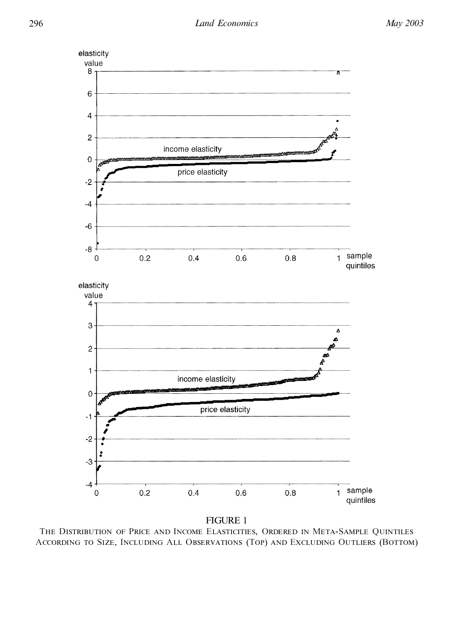

FIGURE 1

The Distribution of Price and Income Elasticities, Ordered in Meta-Sample Quintiles According to Size, Including All Observations (Top) and Excluding Outliers (Bottom)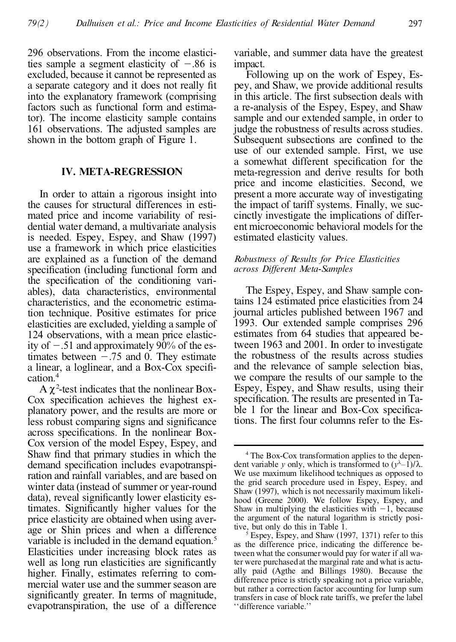296 observations. From the income elasticities sample a segment elasticity of  $-.86$  is excluded, because it cannot be represented as a separate category and it does not really fit into the explanatory framework (comprising factors such as functional form and estimator). The income elasticity sample contains 161 observations. The adjusted samples are shown in the bottom graph of Figure 1.

#### **IV. META-REGRESSION**

In order to attain a rigorous insight into the causes for structural differences in estimated price and income variability of residential water demand, a multivariate analysis is needed. Espey, Espey, and Shaw (1997) use a framework in which price elasticities are explained as a function of the demand specification (including functional form and the specification of the conditioning variables), data characteristics, environmental characteristics, and the econometric estimation technique. Positive estimates for price elasticities are excluded, yielding a sample of 124 observations, with a mean price elasticity of  $-.51$  and approximately 90% of the estimates between  $-.75$  and 0. They estimate a linear, a loglinear, and a Box-Cox specification.<sup>4</sup>

 $A \chi^2$ -test indicates that the nonlinear Box-Cox specification achieves the highest explanatory power, and the results are more or less robust comparing signs and significance across specifications. In the nonlinear Box-Cox version of the model Espey, Espey, and Shaw find that primary studies in which the demand specification includes evapotranspiration and rainfall variables, and are based on winter data (instead of summer or year-round data), reveal significantly lower elasticity estimates. Significantly higher values for the price elasticity are obtained when using average or Shin prices and when a difference variable is included in the demand equation.<sup>5</sup> Elasticities under increasing block rates as well as long run elasticities are significantly higher. Finally, estimates referring to commercial water use and the summer season are significantly greater. In terms of magnitude, evapotranspiration, the use of a difference variable, and summer data have the greatest impact.

Following up on the work of Espey, Espey, and Shaw, we provide additional results in this article. The first subsection deals with a re-analysis of the Espey, Espey, and Shaw sample and our extended sample, in order to judge the robustness of results across studies. Subsequent subsections are confined to the use of our extended sample. First, we use a somewhat different specification for the meta-regression and derive results for both price and income elasticities. Second, we present a more accurate way of investigating the impact of tariff systems. Finally, we succinctly investigate the implications of different microeconomic behavioral models forthe estimated elasticity values.

#### *Robustness of Results for Price Elasticities across Different Meta-Samples*

The Espey, Espey, and Shaw sample contains 124 estimated price elasticities from 24 journal articles published between 1967 and 1993. Our extended sample comprises 296 estimates from 64 studies that appeared between 1963 and 2001. In order to investigate the robustness of the results across studies and the relevance of sample selection bias, we compare the results of our sample to the Espey, Espey, and Shaw results, using their specification. The results are presented in Table 1 for the linear and Box-Cox specifications. The first four columns refer to the Es-

<sup>4</sup> The Box-Cox transformation applies to the dependent variable *y* only, which is transformed to  $(y^{\lambda}-1)/\lambda$ . We use maximum likelihood techniques as opposed to the grid search procedure used in Espey, Espey, and Shaw (1997), which is not necessarily maximum likelihood (Greene 2000). We follow Espey, Espey, and Shaw in multiplying the elasticities with  $-1$ , because the argument of the natural logarithm is strictly positive, but only do this in Table 1.

<sup>&</sup>lt;sup>5</sup> Espey, Espey, and Shaw (1997, 1371) refer to this as the difference price, indicating the difference between what the consumer would pay for water if all water were purchasedat the marginal rate and what is actu ally paid (Agthe and Billings 1980). Because the difference price is strictly speaking not a price variable, but rather a correction factor accounting for lump sum transfers in case of block rate tariffs, we preferthe label ''difference variable.''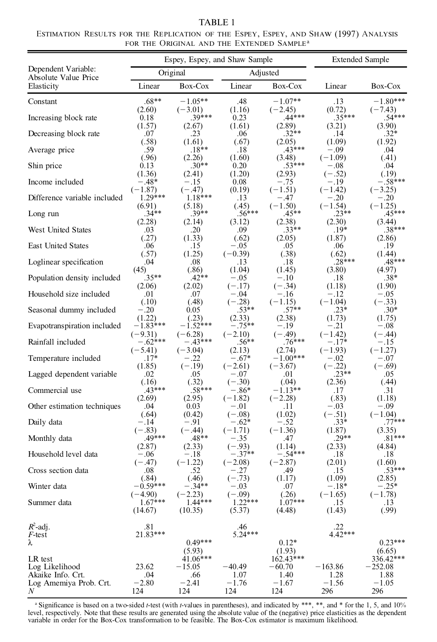| ESTIMATION RESULTS FOR THE REPLICATION OF THE ESPEY, ESPEY, AND SHAW (1997) ANALYSIS |  |
|--------------------------------------------------------------------------------------|--|
| FOR THE ORIGINAL AND THE EXTENDED SAMPLE <sup>a</sup>                                |  |

|                                             | Espey, Espey, and Shaw Sample |                                |                  | <b>Extended Sample</b>          |                  |                                  |
|---------------------------------------------|-------------------------------|--------------------------------|------------------|---------------------------------|------------------|----------------------------------|
| Dependent Variable:<br>Absolute Value Price |                               | Original                       | Adjusted         |                                 |                  |                                  |
| Elasticity                                  | Linear                        | Box-Cox                        | Linear           | Box-Cox                         | Linear           | Box-Cox                          |
| Constant                                    | $.68**$                       | $-1.05**$                      | .48              | $-1.07**$                       | .13              | $-1.80***$                       |
| Increasing block rate                       | (2.60)                        | $(-3.01)$                      | (1.16)           | $(-2.45)$                       | (0.72)           | $(-7.43)$                        |
|                                             | 0.18                          | $.39***$                       | 0.23             | $.44***$                        | $.35***$         | $.54***$                         |
| Decreasing block rate                       | (1.57)                        | (2.67)                         | (1.61)           | (2.89)                          | (3.21)           | (3.90)                           |
|                                             | .07                           | .23                            | .06              | .32**                           | .14              | .32*                             |
| Average price                               | (.58)                         | (1.61)                         | (.67)            | (2.05)                          | (1.09)           | (1.92)                           |
|                                             | .59                           | $.18**$                        | .18              | $.43***$                        | -.09             | .04                              |
| Shin price                                  | (.96)                         | (2.26)                         | (1.60)           | (3.48)                          | $(-1.09)$        | (.41)                            |
|                                             | 0.13                          | $.30**$                        | 0.20             | $.53***$                        | $-.08$           | .04                              |
| Income included                             | (1.36)                        | (2.41)                         | (1.20)           | (2.93)                          | $(-.52)$         | (.19)                            |
|                                             | $-.48*$                       | $-.15$                         | 0.08             | $-.75$                          | $-.19$           | $-.58***$                        |
| Difference variable included                | $(-1.87)$                     | $(-.47)$                       | (0.19)           | $(-1.51)$                       | $(-1.42)$        | $(-3.25)$                        |
|                                             | 1.29***                       | $1.18***$                      | .13              | -.47                            | $-.20$           | $-.20$                           |
| Long run                                    | (6.91)                        | (5.18)                         | (.45)            | $(-1.50)$                       | $(-1.54)$        | $(-1.25)$                        |
|                                             | $.34**$                       | $.39**$                        | $.56***$         | $.45**$                         | $.23**$          | $.45***$                         |
| West United States                          | (2.28)                        | (2.14)                         | (3.12)           | (2.38)                          | (2.30)           | (3.44)                           |
|                                             | .03                           | .20                            | .09              | .33**                           | .19*             | .38***                           |
| East United States                          | (.27)                         | (1.33)                         | (.62)            | (2.05)                          | (1.87)           | (2.86)                           |
|                                             | .06                           | .15                            | $-.05$           | .05                             | .06              | .19                              |
| Loglinear specification                     | (.57)                         | (1.25)                         | $(-0.39)$        | (.38)                           | (.62)            | (1.44)                           |
|                                             | .04                           | .08                            | .13              | .18                             | $.28***$         | .48***                           |
| Population density included                 | (45)                          | (.86)                          | (1.04)           | (1.45)                          | (3.80)           | (4.97)                           |
|                                             | .35**                         | $.42**$                        | $-.05$           | $-.10$                          | .18              | .38*                             |
| Household size included                     | (2.06)                        | (2.02)                         | $(-.17)$         | $(-.34)$                        | (1.18)           | (1.90)                           |
|                                             | .01                           | .07                            | $-.04$           | $-.16$                          | $-.12$           | $-.05$                           |
| Seasonal dummy included                     | (.10)                         | (.48)                          | $(-.28)$         | $(-1.15)$                       | $(-1.04)$        | $(-.33)$                         |
|                                             | $-.20$                        | 0.05                           | $.53**$          | $.57**$                         | $.23*$           | .30*                             |
| Evapotranspiration included                 | (1.22)                        | (.23)                          | (2.33)           | (2.38)                          | (1.73)           | (1.75)                           |
|                                             | $-1.83***$                    | $-1.52***$                     | $-.75**$         | -.19                            | $-.21$           | $-.08$                           |
| Rainfall included                           | $(-9.31)$                     | $(-6.28)$                      | $(-2.10)$        | $(-.49)$                        | $(-1.42)$        | $(-.44)$                         |
|                                             | $-.62***$                     | $-.43***$                      | .56**            | $.76***$                        | $-.17*$          | $-.15$                           |
| Temperature included                        | $(-5.41)$                     | $(-3.04)$                      | (2.13)           | (2.74)                          | $(-1.93)$        | $(-1.27)$                        |
|                                             | $.17*$                        | $-.22$                         | $-.67*$          | $-1.00***$                      | $-.02$           | $-.07$                           |
| Lagged dependent variable                   | (1.85)                        | $(-.19)$                       | $(-2.61)$        | $(-3.67)$                       | $(-.22)$         | $(-.69)$                         |
|                                             | .02                           | .05                            | $-.07$           | .01                             | $.23**$          | .05                              |
| Commercial use                              | (.16)                         | (.32)                          | $(-.30)$         | (.04)                           | (2.36)           | (.44)                            |
|                                             | $.43***$                      | .58***                         | $-.86*$          | $-1.13**$                       | .17              | .31                              |
| Other estimation techniques                 | (2.69)                        | (2.95)                         | $(-1.82)$        | $(-2.28)$                       | (.83)            | (1.18)                           |
|                                             | .04                           | 0.03                           | $-.01$           | .11                             | $-.03$           | $-.09$                           |
| Daily data                                  | (.64)                         | (0.42)                         | $(-.08)$         | (1.02)                          | $(-.51)$         | $(-1.04)$                        |
|                                             | $-.14$                        | $-.91$                         | -.62*            | -.52                            | $.33*$           | $.77***$                         |
| Monthly data                                | $(-.83)$                      | $(-.44)$                       | $(-1.71)$        | $(-1.36)$                       | (1.87)           | (3.35)                           |
|                                             | .49***                        | $.48**$                        | $-.35$           | .47                             | .29**            | $.81***$                         |
| Household level data                        | (2.87)                        | (2.33)                         | $(-.93)$         | (1.14)                          | (2.33)           | (4.84)                           |
|                                             | $-.06$                        | -.18                           | $-.37**$         | $-.54***$                       | .18              | .18                              |
| Cross section data                          | $(-.47)$                      | $(-1.22)$                      | $(-2.08)$        | $(-2.87)$                       | (2.01)           | (1.60)                           |
|                                             | .08                           | .52                            | $-.27$           | .49                             | .15              | $.53***$                         |
| Winter data                                 | (.84)                         | (.46)                          | $(-.73)$         | (1.17)                          | (1.09)           | (2.85)                           |
|                                             | $-0.59***$                    | $-.34**$                       | $-.03$           | .07                             | $-.18*$          | $-.25*$                          |
| Summer data                                 | $(-4.90)$                     | $(-2.23)$                      | $(-.09)$         | (.26)                           | $(-1.65)$        | $(-1.78)$                        |
|                                             | $1.67***$                     | $1.44***$                      | $1.22***$        | $1.07***$                       | .15              | .13                              |
|                                             | (14.67)                       | (10.35)                        | (5.37)           | (4.48)                          | (1.43)           | (.99)                            |
| $R^2$ -adj.                                 | .81<br>$21.83***$             |                                | .46<br>$5.24***$ |                                 | .22<br>$4.42***$ |                                  |
| <i>F</i> -test<br>λ                         |                               | $0.49***$                      |                  | $0.12*$                         |                  | $0.23***$                        |
| LR test<br>Log Likelihood                   | 23.62                         | (5.93)<br>41.06***<br>$-15.05$ | -40.49           | (1.93)<br>162.43***<br>$-60.70$ | $-163.86$        | (6.65)<br>336.42***<br>$-252.08$ |
| Akaike Info. Crt.                           | .04                           | .66                            | 1.07             | 1.40                            | 1.28             | 1.88                             |
| Log Amemiya Prob. Crt.                      | $-2.80$                       | $-2.41$                        | $-1.76$          | $-1.67$                         | $-1.56$          | $-1.05$                          |
| N                                           | 124                           | 124                            | 124              | 124                             | 296              | 296                              |

<sup>a</sup> Significance is based on a two-sided *t*-test (with *t*-values in parentheses), and indicated by \*\*\*, \*\*, and \* for the 1, 5, and 10% level, respectively. Note that these results are generated using the absolute value of the (negative) price elasticities as the dependent variable in order for the Box-Cox transformation to be feasible. The Box-Cox estimator is maximum likelihood.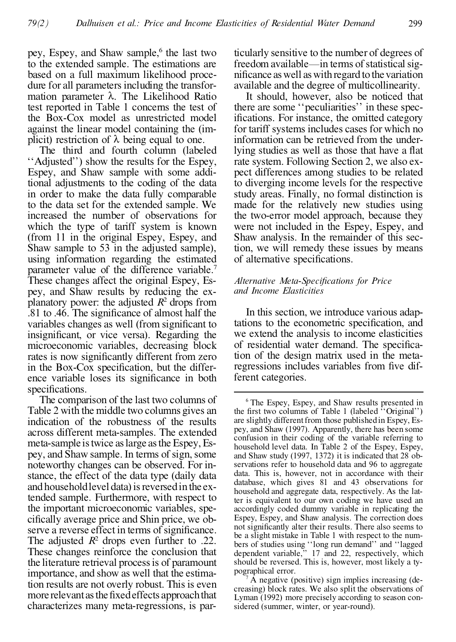pey, Espey, and Shaw sample,<sup>6</sup> the last two to the extended sample. The estimations are based on a full maximum likelihood procedure for all parameters including the transfor mation parameter  $\lambda$ . The Likelihood Ratio test reported in Table 1 concerns the test of the Box-Cox model as unrestricted model against the linear model containing the (implicit) restriction of  $\lambda$  being equal to one.

The third and fourth column (labeled ''Adjusted'') show the results for the Espey, Espey, and Shaw sample with some additional adjustments to the coding of the data in order to make the data fully comparable to the data set for the extended sample. We increased the number of observations for which the type of tariff system is known (from 11 in the original Espey, Espey, and Shaw sample to 53 in the adjusted sample), using information regarding the estimated parameter value of the difference variable.<sup>7</sup> These changes affect the original Espey, Espey, and Shaw results by reducing the explanatory power: the adjusted  $R^2$  drops from .81 to .46. The significance of almost half the variables changes as well (from significant to insignificant, or vice versa). Regarding the microeconomic variables, decreasing block rates is now significantly different from zero in the Box-Cox specification, but the difference variable loses its significance in both specifications.

The comparison of the last two columns of Table 2 with the middle two columns gives an indication of the robustness of the results across different meta-samples. The extended meta-sample is twice as large as the Espey, Espey, and Shaw sample. In terms of sign, some noteworthy changes can be observed. For instance, the effect of the data type (daily data and household level data) is reversed in the extended sample. Furthermore, with respect to the important microeconomic variables, specifically average price and Shin price, we observe a reverse effect in terms of significance. The adjusted  $R^2$  drops even further to .22. These changes reinforce the conclusion that the literature retrieval processis of paramount importance, and show as well that the estimation results are not overly robust. This is even more relevant as the fixed effects approach that characterizes many meta-regressions, is particularly sensitive to the numberof degrees of freedom available—in terms of statistical significance as well as with regard to the variation available and the degree of multicollinearity.

It should, however, also be noticed that there are some ''peculiarities'' in these specifications. For instance, the omitted category for tariff systems includes cases for which no information can be retrieved from the underlying studies as well as those that have a flat rate system. Following Section 2, we also expect differences among studies to be related to diverging income levels for the respective study areas. Finally, no formal distinction is made for the relatively new studies using the two-error model approach, because they were not included in the Espey, Espey, and Shaw analysis. In the remainder of this section, we will remedy these issues by means of alternative specifications.

#### *Alternative Meta-Speci cations for Price and Income Elasticities*

In this section, we introduce various adaptations to the econometric specification, and we extend the analysis to income elasticities of residential water demand. The specification of the design matrix used in the metaregressions includes variables from five different categories.

<sup>&</sup>lt;sup>6</sup> The Espey, Espey, and Shaw results presented in the first two columns of Table 1 (labeled  $\cdot$ <sup>\*</sup>Original'') are slightly different from those published in Espey, Espey, and Shaw (1997). Apparently, there has been some confusion in their coding of the variable referring to household level data. In Table 2 of the Espey, Espey, and Shaw study (1997, 1372) it is indicated that 28 ob servations refer to household data and 96 to aggregate data. This is, however, not in accordance with their database, which gives 81 and 43 observations for household and aggregate data, respectively. As the latter is equivalent to our own coding we have used an accordingly coded dummy variable in replicating the Espey, Espey, and Shaw analysis. The correction does not significantly alter their results. There also seems to be a slight mistake in Table 1 with respect to the num bers of studies using ''long run demand'' and ''lagged dependent variable,'' 17 and 22, respectively, which should be reversed. This is, however, most likely a ty-<br>pographical error.

A negative (positive) sign implies increasing (decreasing) block rates. We also split the observations of Lyman (1992) more precisely according to season con sidered (summer, winter, or year-round).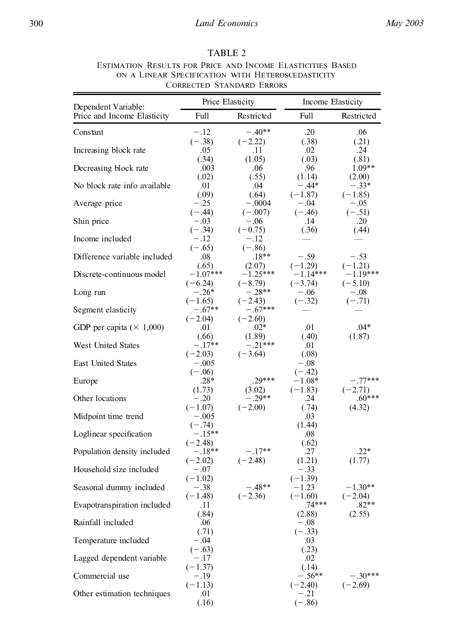Estimation Results for Price and Income Elasticities Based on a Linear Specification with Heteroscedasticity Corrected Standard Errors

| Dependent Variable:             | Price Elasticity        |                         | Income Elasticity       |                         |
|---------------------------------|-------------------------|-------------------------|-------------------------|-------------------------|
| Price and Income Elasticity     | Full                    | Restricted              | Full                    | Restricted              |
| Constant                        | $-.12$                  | $-.40**$                | .20                     | .06                     |
| Increasing block rate           | $(-.38)$<br>.05         | $(-2.22)$<br>.11        | (.38)<br>.02            | (.21)<br>.24            |
|                                 | (.34)                   | (1.05)                  | (.03)                   | (.81)                   |
| Decreasing block rate           | .003<br>(.02)           | .06<br>(.55)            | .96<br>(1.14)           | 1.09**<br>(2.00)        |
| No block rate info available    | .01                     | .04                     | - 44*                   | $-.33*$                 |
| Average price                   | (.09)<br>$-.25$         | (.64)<br>$-.0004$       | $(-1.87)$<br>$-.04$     | $(-1.85)$<br>$-.05$     |
|                                 | $(-.44)$                | $(-.007)$               | $(-.46)$                | $(-.51)$                |
| Shin price                      | - 03<br>$(-.34)$        | -.06<br>$(-0.75)$       | .14<br>(.36)            | .20<br>(.44)            |
| Income included                 | $-.12$                  | $-.12$                  |                         |                         |
| Difference variable included    | $(-.65)$<br>.08         | $(-.86)$<br>$.18**$     | $-.59$                  | $-.53$                  |
|                                 | (.65)                   | (2.07)                  | $(-1.29)$               | $(-1.21)$               |
| Discrete-continuous model       | $-1.07***$<br>$(-6.24)$ | $-1.25***$<br>$(-8.79)$ | $-1.14***$<br>$(-3.74)$ | $-1.19***$<br>$(-5.10)$ |
| Long run                        | $-.26*$                 | $-.28**$                | $-.06$                  | $-.08$                  |
| Segment elasticity              | $(-1.65)$<br>$-.67**$   | $(-2.43)$<br>$-.67***$  | $(-.32)$                | $(-.71)$                |
|                                 | $(-2.04)$               | $(-2.60)$               |                         |                         |
| GDP per capita $(\times 1,000)$ | .01<br>(.66)            | $.02*$<br>(1.89)        | .01<br>(.40)            | $.04*$<br>(1.87)        |
| West United States              | $-.17**$                | $-0.21***$              | .01                     |                         |
| <b>East United States</b>       | $(-2.03)$<br>$-.005$    | $(-3.64)$               | (.08)<br>$-.08$         |                         |
|                                 | $(-.06)$                |                         | $(-.42)$                |                         |
| Europe                          | $.28*$                  | $.29***$                | $-1.08*$                | $-.77***$               |
| Other locations                 | (1.73)<br>$-.20$        | (3.02)<br>$-.29**$      | $(-1.83)$<br>.24        | $(-2.71)$<br>$.60***$   |
|                                 | $(-1.07)$               | $(-2.00)$               | (.74)                   | (4.32)                  |
| Midpoint time trend             | $-.005$<br>$(-.74)$     |                         | .03<br>(1.44)           |                         |
| Loglinear specification         | $-.15**$                |                         | .08                     |                         |
| Population density included     | $(-2.48)$<br>$-.18**$   | $-.17**$                | (.62)<br>.27            | $.22*$                  |
|                                 | $(-2.02)$               | $(-2.48)$               | (1.21)                  | (1.77)                  |
| Household size included         | $-.07$<br>$(-1.02)$     |                         | $-.33$<br>$(-1.39)$     |                         |
| Seasonal dummy included         | $-.38$                  | $-.48**$                | $-1.23$                 | $-1.30**$               |
| Evapotranspiration included     | $(-1.48)$<br>.11        | $(-2.36)$               | $(-1.60)$<br>$.74***$   | $(-2.04)$<br>$.82**$    |
|                                 | (.84)                   |                         | (2.88)                  | (2.55)                  |
| Rainfall included               | .06<br>(.71)            |                         | $-.08$<br>$(-.33)$      |                         |
| Temperature included            | $-.04$                  |                         | .03                     |                         |
| Lagged dependent variable       | $(-.63)$<br>-.17        |                         | (.23)<br>.02            |                         |
|                                 | $(-1.37)$               |                         | (.14)                   |                         |
| Commercial use                  | $-.19$<br>$(-1.13)$     |                         | $-.56**$<br>$(-2.40)$   | $-.30***$<br>$(-2.69)$  |
| Other estimation techniques     | .01                     |                         | $-.21$                  |                         |
|                                 | (.16)                   |                         | $(-.86)$                |                         |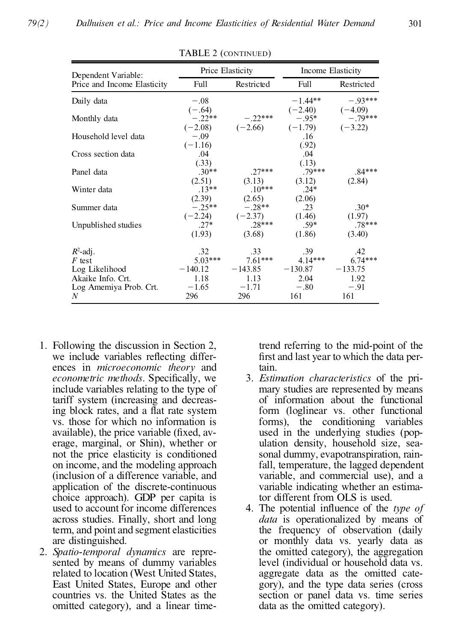| ٠            |                    |  |
|--------------|--------------------|--|
| ۰,<br>$\sim$ | ×<br>۰.<br>×<br>۰. |  |

| Dependent Variable:         |                     | Price Elasticity   | Income Elasticity    |                        |
|-----------------------------|---------------------|--------------------|----------------------|------------------------|
| Price and Income Elasticity | Full                | Restricted         | Full                 | Restricted             |
| Daily data                  | $-.08$              |                    | $-1.44**$            | $-.93***$              |
|                             | $(-.64)$<br>$-22**$ | $-.22***$          | $(-2.40)$<br>$-.95*$ | $(-4.09)$<br>$-.79***$ |
| Monthly data                | $(-2.08)$           |                    | $(-2.66)$ $(-1.79)$  | $(-3.22)$              |
| Household level data        | $-.09$              |                    | .16                  |                        |
|                             | $(-1.16)$           |                    | (.92)                |                        |
| Cross section data          | .04                 |                    | .04                  |                        |
| Panel data                  | (.33)<br>$.30**$    | $.27***$           | (.13)<br>$.79***$    | $.84***$               |
|                             | (2.51)              | (3.13)             | (3.12)               | (2.84)                 |
| Winter data                 | $13**$              | $.10***$           | $.24*$               |                        |
|                             | (2.39)              | (2.65)             | (2.06)               |                        |
| Summer data                 | $-.25**$            | $-.28**$           | .23                  | $.30*$                 |
|                             | $(-2.24)$           | $(-2.37)$          | (1.46)               | (1.97)                 |
| Unpublished studies         | $27*$<br>(1.93)     | $.28***$<br>(3.68) | $.59*$<br>(1.86)     | $.78***$<br>(3.40)     |
|                             |                     |                    |                      |                        |
| $R^2$ -adj.                 | .32                 | .33                | .39                  | .42                    |
| $F$ test                    | $5.03***$           | $7.61***$          | $4.14***$            | $6.74***$              |
| Log Likelihood              | $-140.12$           | $-143.85$          | $-130.87$            | $-133.75$              |
| Akaike Info. Crt.           | 1.18                | 1.13               | 2.04                 | 1.92                   |
| Log Amemiya Prob. Crt.      | $-1.65$             | $-1.71$            | $-.80$               | $-.91$                 |
| N                           | 296                 | 296                | 161                  | 161                    |

TABLE 2 (continued)

- 1. Following the discussion in Section 2, we include variables reflecting differences in *microeconomic theory* and *econometric methods*. Specifically, we include variables relating to the type of tariff system (increasing and decreasing block rates, and a flat rate system vs. those for which no information is available), the price variable (fixed, average, marginal, or Shin), whether or not the price elasticity is conditioned on income, and the modeling approach (inclusion of a difference variable, and application of the discrete-continuous choice approach). GDP per capita is used to account for income differences across studies. Finally, short and long term, and point and segment elasticities are distinguished.
- 2. *Spatio-temporal dynamics* are represented by means of dummy variables related to location (West United States, East United States, Europe and other countries vs. the United States as the omitted category), and a linear time-

trend referring to the mid-point of the first and last year to which the data pertain.

- 3. *Estimation characteristics* of the primary studies are represented by means of information about the functional form (loglinear vs. other functional forms), the conditioning variables used in the underlying studies (population density, household size, seasonal dummy, evapotranspiration, rainfall, temperature, the lagged dependent variable, and commercial use), and a variable indicating whether an estimator different from OLS is used.
- 4. The potential influence of the *type* of *data* is operationalized by means of the frequency of observation (daily or monthly data vs. yearly data as the omitted category), the aggregation level (individual or household data vs. aggregate data as the omitted category), and the type data series (cross section or panel data vs. time series data as the omitted category).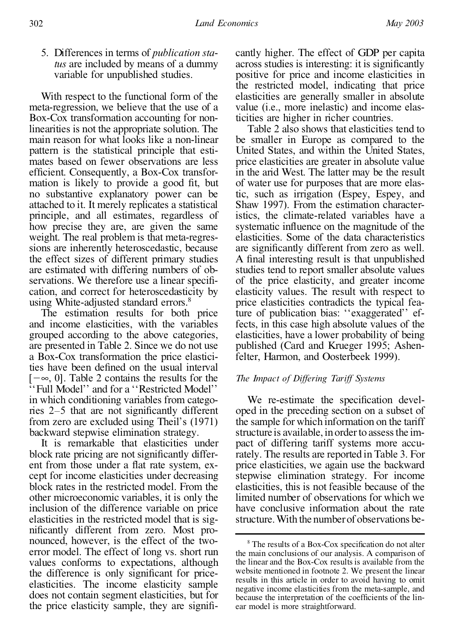5. Differences in terms of *publication status* are included by means of a dummy variable for unpublished studies.

With respect to the functional form of the meta-regression, we believe that the use of a Box-Cox transformation accounting for nonlinearities is not the appropriate solution. The main reason for what looks like a non-linear pattern is the statistical principle that estimates based on fewer observations are less efficient. Consequently, a Box-Cox transformation is likely to provide a good fit, but no substantive explanatory power can be attached to it. It merely replicates a statistical principle, and all estimates, regardless of how precise they are, are given the same weight. The real problem is that meta-regressions are inherently heteroscedastic, because the effect sizes of different primary studies are estimated with differing numbers of observations. We therefore use a linear specification, and correct for heteroscedasticity by using White-adjusted standard errors.<sup>8</sup>

The estimation results for both price and income elasticities, with the variables grouped according to the above categories, are presented in Table 2. Since we do not use a Box-Cox transformation the price elasticities have been defined on the usual interval  $[-\infty, 0]$ . Table 2 contains the results for the ''Full Model'' and for a ''Restricted Model'' in which conditioning variables from categories  $2-5$  that are not significantly different from zero are excluded using Theil's (1971) backward stepwise elimination strategy.

It is remarkable that elasticities under block rate pricing are not significantly different from those under a flat rate system, except for income elasticities under decreasing block rates in the restricted model. From the other microeconomic variables, it is only the inclusion of the difference variable on price elasticities in the restricted model that is significantly different from zero. Most pronounced, however, is the effect of the twoerror model. The effect of long vs. short run values conforms to expectations, although the difference is only significant for priceelasticities. The income elasticity sample does not contain segment elasticities, but for the price elasticity sample, they are significantly higher. The effect of GDP per capita across studies is interesting: it is significantly positive for price and income elasticities in the restricted model, indicating that price elasticities are generally smaller in absolute value (i.e., more inelastic) and income elasticities are higher in richer countries.

Table 2 also shows that elasticities tend to be smaller in Europe as compared to the United States, and within the United States, price elasticities are greater in absolute value in the arid West. The latter may be the result of water use for purposes that are more elastic, such as irrigation (Espey, Espey, and Shaw 1997). From the estimation characteristics, the climate-related variables have a systematic influence on the magnitude of the elasticities. Some of the data characteristics are significantly different from zero as well. A final interesting result is that unpublished studies tend to report smaller absolute values of the price elasticity, and greater income elasticity values. The result with respect to price elasticities contradicts the typical feature of publication bias: ''exaggerated'' effects, in this case high absolute values of the elasticities, have a lower probability of being published (Card and Krueger 1995; Ashenfelter, Harmon, and Oosterbeek 1999).

#### *The Impact of Differing Tariff Systems*

We re-estimate the specification developed in the preceding section on a subset of the sample for which information on the tariff structure is available, in order to assess the impact of differing tariff systems more accurately. The results are reported inTable 3. For price elasticities, we again use the backward stepwise elimination strategy. For income elasticities, this is not feasible because of the limited number of observations for which we have conclusive information about the rate structure. With the number of observations be-

<sup>&</sup>lt;sup>8</sup> The results of a Box-Cox specification do not alter the main conclusions of our analysis. A comparison of the linear and the Box-Cox results is available from the website mentioned in footnote 2. We present the linear results in this article in order to avoid having to omit negative income elasticities from the meta-sample, and because the interpretation of the coefficients of the linear model is more straightforward.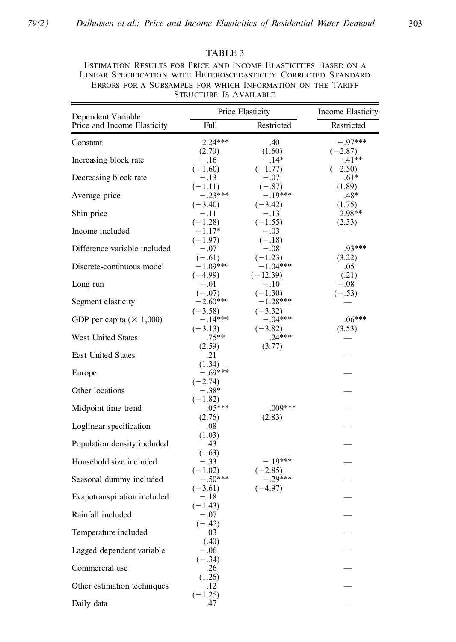Estimation Results for Price and Income Elasticities Based on a Linear Specification with Heteroscedasticity Corrected Standard Errors for a Subsample for which Information on the Tariff STRUCTURE IS AVAILABLE

| Dependent Variable:             | Price Elasticity       |                        | Income Elasticity   |
|---------------------------------|------------------------|------------------------|---------------------|
| Price and Income Elasticity     | Full                   | Restricted             | Restricted          |
| Constant                        | 2.24***                | .40                    | $-.97***$           |
|                                 | (2.70)                 | (1.60)                 | $(-2.87)$           |
| Increasing block rate           | $-.16$                 | $-.14*$                | $-.41**$            |
|                                 | $(-1.60)$<br>$-.13$    | $(-1.77)$<br>$-.07$    | $(-2.50)$<br>$.61*$ |
| Decreasing block rate           | $(-1.11)$              | $(-.87)$               | (1.89)              |
| Average price                   | $-.23***$              | $-.19***$              | $.48*$              |
|                                 | $(-3.40)$              | $(-3.42)$              | (1.75)              |
| Shin price                      | $-.11$                 | $-.13$                 | 2.98**              |
| Income included                 | $(-1.28)$<br>$-1.17*$  | $(-1.55)$<br>$-.03$    | (2.33)              |
|                                 | $(-1.97)$              | $(-.18)$               |                     |
| Difference variable included    | $-.07$                 | $-.08$                 | .93***              |
|                                 | $(-.61)$               | $(-1.23)$              | (3.22)              |
| Discrete-continuous model       | $-1.09***$             | $-1.04***$             | .05                 |
| Long run                        | $(-4.99)$<br>$-.01$    | $(-12.39)$<br>$-.10$   | (.21)<br>$-.08$     |
|                                 | $(-.07)$               | $(-1.30)$              | $(-.53)$            |
| Segment elasticity              | $-2.60***$             | $-1.28***$             |                     |
|                                 | $(-3.58)$              | $(-3.32)$              |                     |
| GDP per capita $(\times 1,000)$ | $-.14***$              | $-.04***$              | $.06***$            |
| West United States              | $(-3.13)$<br>$.75***$  | $(-3.82)$<br>$.24***$  | (3.53)              |
|                                 | (2.59)                 | (3.77)                 |                     |
| <b>East United States</b>       | .21                    |                        |                     |
|                                 | (1.34)                 |                        |                     |
| Europe                          | $-.69***$              |                        |                     |
| Other locations                 | $(-2.74)$<br>$-.38*$   |                        |                     |
|                                 | $(-1.82)$              |                        |                     |
| Midpoint time trend             | $.05***$               | .009***                |                     |
|                                 | (2.76)                 | (2.83)                 |                     |
| Loglinear specification         | .08                    |                        |                     |
| Population density included     | (1.03)<br>.43          |                        |                     |
|                                 | (1.63)                 |                        |                     |
| Household size included         | $-.33$                 | $-.19***$              |                     |
|                                 | $(-1.02)$              | $(-2.85)$              |                     |
| Seasonal dummy included         | $-.50***$<br>$(-3.61)$ | $-.29***$<br>$(-4.97)$ |                     |
| Evapotranspiration included     | $-.18$                 |                        |                     |
|                                 | $(-1.43)$              |                        |                     |
| Rainfall included               | $-.07$                 |                        |                     |
| Temperature included            | $(-.42)$<br>.03        |                        |                     |
|                                 | (.40)                  |                        |                     |
| Lagged dependent variable       | $-.06$                 |                        |                     |
|                                 | $(-.34)$               |                        |                     |
| Commercial use                  | .26                    |                        |                     |
| Other estimation techniques     | (1.26)<br>$-.12$       |                        |                     |
|                                 | $(-1.25)$              |                        |                     |
| Daily data                      | .47                    |                        |                     |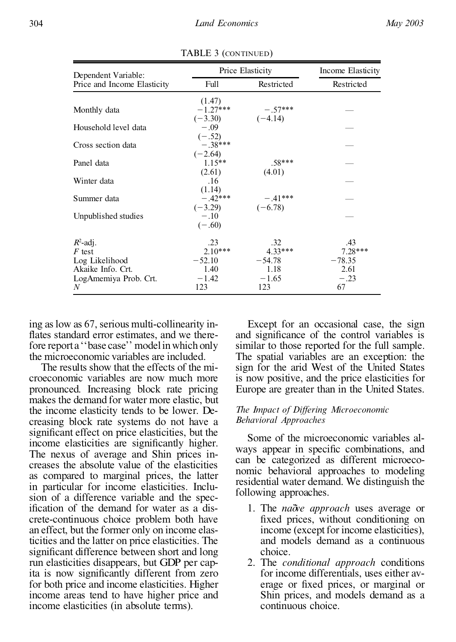| Dependent Variable:         |                                 | Price Elasticity | Income Elasticity |
|-----------------------------|---------------------------------|------------------|-------------------|
| Price and Income Elasticity | Full                            | Restricted       | Restricted        |
|                             | (1.47)                          |                  |                   |
| Monthly data                | $-1.27***$                      | $-.57***$        |                   |
|                             | $(-3.30)$                       | $(-4.14)$        |                   |
| Household level data        | $-.09$                          |                  |                   |
| Cross section data          | $(-.52)$<br>$-.38***$           |                  |                   |
| Panel data                  | $(-2.64)$<br>$1.15***$          | $.58***$         |                   |
|                             | (2.61)                          | (4.01)           |                   |
| Winter data                 | .16                             |                  |                   |
|                             | (1.14)                          |                  |                   |
| Summer data                 | $-.42***$                       | $-.41***$        |                   |
| Unpublished studies         | $(-3.29)$<br>$-.10$<br>$(-.60)$ | $(-6.78)$        |                   |
| $R^2$ -adj.                 | .23                             | .32              | .43               |
| $F$ test                    | $2.10***$                       | $4.33***$        | $7.28***$         |
| Log Likelihood              | $-52.10$                        | $-54.78$         | $-78.35$          |
| Akaike Info. Crt.           | 1.40                            | 1.18             | 2.61              |
| LogAmemiya Prob. Crt.       | $-1.42$                         | $-1.65$          | $-.23$            |
| N                           | 123                             | 123              | 67                |

TABLE 3 (continued)

ing as low as67, serious multi-collinearity in flates standard error estimates, and we therefore report a "base case" model in which only the microeconomic variables are included.

The results show that the effects of the microeconomic variables are now much more pronounced. Increasing block rate pricing makes the demand for water more elastic, but the income elasticity tends to be lower. Decreasing block rate systems do not have a significant effect on price elasticities, but the income elasticities are significantly higher. The nexus of average and Shin prices increases the absolute value of the elasticities as compared to marginal prices, the latter in particular for income elasticities. Inclusion of a difference variable and the specification of the demand for water as a discrete-continuous choice problem both have an effect, but the former only on income elasticities and the latter on price elasticities. The significant difference between short and long run elasticities disappears, but GDP per capita is now significantly different from zero for both price and income elasticities. Higher income areas tend to have higher price and income elasticities (in absolute terms).

Except for an occasional case, the sign and significance of the control variables is similar to those reported for the full sample. The spatial variables are an exception: the sign for the arid West of the United States is now positive, and the price elasticities for Europe are greater than in the United States.

#### *The Impact of Differing Microeconomic Behavioral Approaches*

Some of the microeconomic variables always appear in specific combinations, and can be categorized as different microeconomic behavioral approaches to modeling residential water demand. We distinguish the following approaches.

- 1. The *naõve approach* uses average or fixed prices, without conditioning on income (except for income elasticities), and models demand as a continuous choice.
- 2. The *conditional approach* conditions for income differentials, uses either average or fixed prices, or marginal or Shin prices, and models demand as a continuous choice.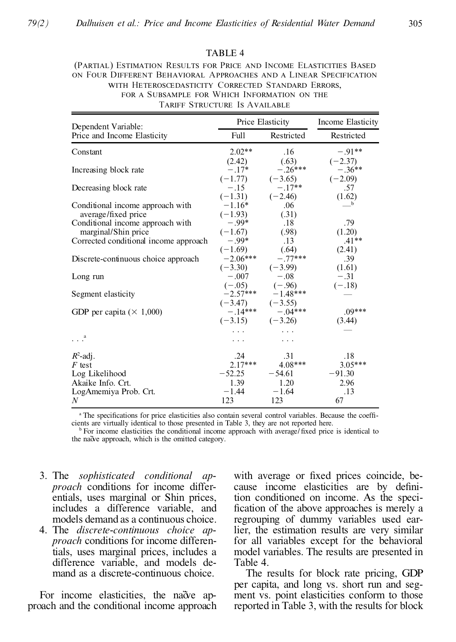#### (Partial) Estimation Results for Price and Income Elasticities Based on Four Different Behavioral Approaches and a Linear Specification with Heteroscedasticity Corrected Standard Errors, for a Subsample for Which Information on the Tariff Structure Is Available

| Dependent Variable:                   |                                             | Price Elasticity                          | Income Elasticity |
|---------------------------------------|---------------------------------------------|-------------------------------------------|-------------------|
| Price and Income Elasticity           | Full                                        | Restricted                                | Restricted        |
| Constant                              | $2.02**$                                    | .16                                       | $-.91**$          |
|                                       | (2.42)                                      | (.63)                                     | $(-2.37)$         |
| Increasing block rate                 | $-.17*$                                     | $-.26***$<br>$(-1.77)$ $(-3.65)$          | $-.36**$          |
| Decreasing block rate                 |                                             | $-.15 - .17**$                            | $(-2.09)$<br>.57  |
|                                       | $(-1.31)$ $(-2.46)$                         |                                           | (1.62)            |
| Conditional income approach with      | $-1.16*$ .06                                |                                           |                   |
| average/fixed price                   | $(-1.93)$                                   | (.31)                                     |                   |
| Conditional income approach with      | $-.99*$                                     | .18                                       | .79               |
| marginal/Shin price                   | $(-1.67)$                                   | (.98)                                     | (1.20)            |
| Corrected conditional income approach | $-.99*$                                     | $\overline{13}$                           | $.41**$           |
|                                       |                                             | $(-1.69)$ (.64)<br>-2.06*** -.77***       | (2.41)            |
| Discrete-continuous choice approach   |                                             |                                           | .39               |
|                                       |                                             | $(-3.30)$ $(-3.99)$                       | (1.61)            |
| Long run                              |                                             | $-.007$ $-.08$                            | $-.31$            |
|                                       |                                             | $(-.05)$ $(-.96)$<br>-2.57*** $-1.48$ *** | $(-.18)$          |
| Segment elasticity                    |                                             |                                           |                   |
|                                       | $(-3.47)$ $(-3.55)$                         | $-14***$ $-04***$                         | $.09***$          |
| GDP per capita $(\times 1,000)$       |                                             | $(-3.15)$ $(-3.26)$                       | (3.44)            |
|                                       | <b>Property and the company's company's</b> |                                           |                   |
|                                       | $\cdots$                                    | $\cdots$<br>$\cdots$                      |                   |
|                                       |                                             |                                           |                   |
| $R^2$ -adi.                           | .24                                         | .31                                       | .18               |
| $F$ test                              | $2.17***$                                   | $4.08***$                                 | $3.05***$         |
| Log Likelihood                        | $-52.25$                                    | $-54.61$                                  | $-91.30$          |
| Akaike Info. Crt.                     | 1.39                                        | 1.20                                      | 2.96              |
| LogAmemiya Prob. Crt.                 | $-1.44$                                     | $-1.64$                                   | .13               |
| N                                     | 123                                         | 123                                       | 67                |

<sup>a</sup> The specifications for price elasticities also contain several control variables. Because the coefficients are virtually identical to those presented in Table 3, they are not reported here.

<sup>b</sup> For income elasticities the conditional income approach with average/ fixed price is identical to the naõve approach, which is the omitted category.

- 3. The *sophisticated conditional approach* conditions for income differ entials, uses marginal or Shin prices, includes a difference variable, and models demand as a continuous choice.
- 4. The *discrete-continuous choice approach* conditions for income differentials, uses marginal prices, includes a difference variable, and models demand as a discrete-continuous choice.

For income elasticities, the naõve approach and the conditional income approach

with average or fixed prices coincide, because income elasticities are by definition conditioned on income. As the speci fication of the above approaches is merely a regrouping of dummy variables used earlier, the estimation results are very similar for all variables except for the behavioral model variables. The results are presented in Table 4.

The results for block rate pricing, GDP per capita, and long vs. short run and segment vs. point elasticities conform to those reported in Table 3, with the results for block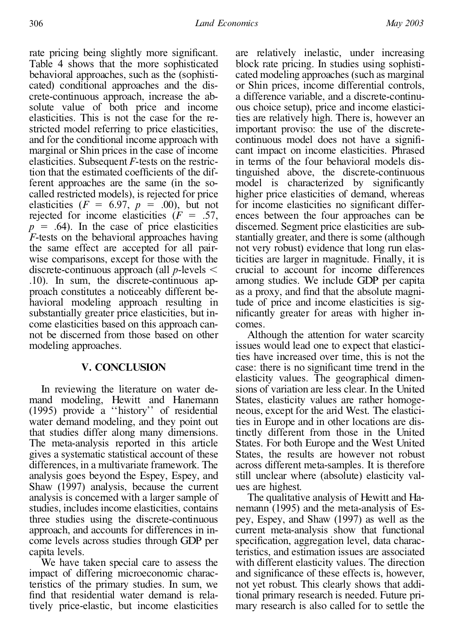rate pricing being slightly more significant. Table 4 shows that the more sophisticated behavioral approaches, such as the (sophisticated) conditional approaches and the discrete-continuous approach, increase the absolute value of both price and income elasticities. This is not the case for the restricted model referring to price elasticities, and for the conditional income approach with marginal or Shin prices in the case of income elasticities. Subsequent*F*-tests on the restriction that the estimated coefficients of the different approaches are the same (in the socalled restricted models), is rejected for price elasticities  $(F = 6.97, p = .00)$ , but not rejected for income elasticities  $(F = .57, )$  $p = .64$ ). In the case of price elasticities *F*-tests on the behavioral approaches having the same effect are accepted for all pair wise comparisons, except for those with the discrete-continuous approach (all  $p$ -levels  $\leq$ .10). In sum, the discrete-continuous approach constitutes a noticeably different behavioral modeling approach resulting in substantially greater price elasticities, but income elasticities based on this approach cannot be discerned from those based on other modeling approaches.

#### **V. CONCLUSION**

In reviewing the literature on water demand modeling, Hewitt and Hanemann (1995) provide a ''history'' of residential water demand modeling, and they point out that studies differ along many dimensions. The meta-analysis reported in this article gives a systematic statistical account of these differences, in a multivariate framework. The analysis goes beyond the Espey, Espey, and Shaw (1997) analysis, because the current analysis is concerned with a larger sample of studies, includes income elasticities, contains three studies using the discrete-continuous approach, and accounts for differences in income levels across studies through GDP per capita levels.

We have taken special care to assess the impact of differing microeconomic characteristics of the primary studies. In sum, we find that residential water demand is relatively price-elastic, but income elasticities are relatively inelastic, under increasing block rate pricing. In studies using sophisticated modeling approaches (such as marginal or Shin prices, income differential controls, a difference variable, and a discrete-continuous choice setup), price and income elasticities are relatively high. There is, however an important proviso: the use of the discretecontinuous model does not have a significant impact on income elasticities. Phrased in terms of the four behavioral models distinguished above, the discrete-continuous model is characterized by significantly higher price elasticities of demand, whereas for income elasticities no significant differences between the four approaches can be discerned. Segment price elasticities are substantially greater, and there is some (although not very robust) evidence that long run elasticities are larger in magnitude. Finally, it is crucial to account for income differences among studies. We include GDP per capita as a proxy, and find that the absolute magnitude of price and income elasticities is significantly greater for areas with higher incomes.

Although the attention for water scarcity issues would lead one to expect that elasticities have increased over time, this is not the case: there is no significant time trend in the elasticity values. The geographical dimensions of variation are less clear. In the United States, elasticity values are rather homogeneous, except for the arid West. The elasticities in Europe and in other locations are distinctly different from those in the United States. For both Europe and the West United States, the results are however not robust across different meta-samples. It is therefore still unclear where (absolute) elasticity values are highest.

The qualitative analysis of Hewitt and Ha nemann (1995) and the meta-analysis of Espey, Espey, and Shaw (1997) as well as the current meta-analysis show that functional specification, aggregation level, data characteristics, and estimation issues are associated with different elasticity values. The direction and significance of these effects is, however, not yet robust. This clearly shows that additional primary research is needed. Future primary research is also called for to settle the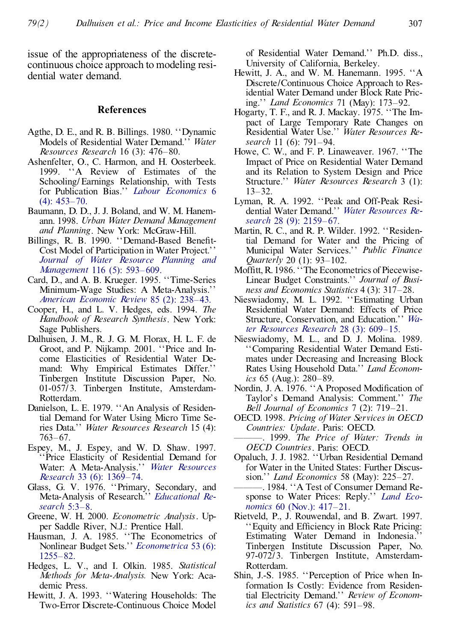issue of the appropriateness of the discretecontinuous choice approach to modeling residential water demand.

#### **References**

- Agthe, D. E., and R. B. Billings. 1980. ''Dynamic Models of Residential Water Demand.'' *Water Resources Research* 16 (3): 476–80.
- Ashenfelter, O., C. Harmon, and H. Oosterbeek. 1999. ''A Review of Estimates of the Schooling/Earnings Relationship, with Tests for Publication Bias.'' *Labour [Economics](http://www.ingentaconnect.com/content/external-references?article=/0927-5371^28^296:4L.453[aid=5262841])* 6 (4): [453–70.](http://www.ingentaconnect.com/content/external-references?article=/0927-5371^28^296:4L.453[aid=5262841])
- Baumann, D. D., J. J. Boland, and W. M. Hanemann. 1998. *Urban Water Demand Management and Planning*. New York: McGraw-Hill.
- Billings, R. B. 1990. "Demand-Based Benefit-Cost Model of Participation in Water Project.'' *Journal of Water [Resource](http://www.ingentaconnect.com/content/external-references?article=/0733-9496^28^29116:5L.593[aid=4804312]) Planning and [Management](http://www.ingentaconnect.com/content/external-references?article=/0733-9496^28^29116:5L.593[aid=4804312])* 116 (5): 593–609.
- Card, D., and A. B. Krueger. 1995. ''Time-Series Minimum-Wage Studies: A Meta-Analysis.'' *American [Economic](http://www.ingentaconnect.com/content/external-references?article=/0002-8282^28^2985:2L.238[aid=4543644]) Review* 85 (2): 238–43.
- Cooper, H., and L. V. Hedges, eds. 1994. *The Handbook of Research Synthesis*. New York: Sage Publishers.
- Dalhuisen, J. M., R. J. G. M. Florax, H. L. F. de Groot, and P. Nijkamp. 2001. ''Price and Income Elasticities of Residential Water Demand: Why Empirical Estimates Differ.'' Tinbergen Institute Discussion Paper, No. 01-057/ 3. Tinbergen Institute, Amsterdam- Rotterdam.
- Danielson, L. E. 1979. ''An Analysis of Residential Demand for Water Using Micro Time Series Data.'' *Water Resources Research* 15 (4): 763–67.
- Espey, M., J. Espey, and W. D. Shaw. 1997. ''Price Elasticity of Residential Demand for Water: A Meta-Analysis.'' *Water [Resources](http://www.ingentaconnect.com/content/external-references?article=/0043-1397^28^2933:6L.1369[aid=94052]) Research* 33 (6): [1369–74.](http://www.ingentaconnect.com/content/external-references?article=/0043-1397^28^2933:6L.1369[aid=94052])
- Glass, G. V. 1976. ''Primary, Secondary, and Meta-Analysis of Research.'' *[Educational](http://www.ingentaconnect.com/content/external-references?article=/0013-1881^28^295L.3[aid=125059]) Re [search](http://www.ingentaconnect.com/content/external-references?article=/0013-1881^28^295L.3[aid=125059])* 5:3–8.
- Greene, W. H. 2000. *Econometric Analysis*. Upper Saddle River, N.J.: Prentice Hall.
- Hausman, J. A. 1985. ''The Econometrics of Nonlinear Budget Sets.'' *[Econometrica](http://www.ingentaconnect.com/content/external-references?article=/0012-9682^28^2953:6L.1255[aid=2749498])* 53 (6): [1255–82.](http://www.ingentaconnect.com/content/external-references?article=/0012-9682^28^2953:6L.1255[aid=2749498])
- Hedges, L. V., and I. Olkin. 1985. *Statistical Methods for Meta-Analysis.* New York: Aca demic Press.
- Hewitt, J. A. 1993. ''Watering Households: The Two-Error Discrete-Continuous Choice Model

of Residential Water Demand.'' Ph.D. diss., University of California, Berkeley.

- Hewitt, J. A., and W. M. Hanemann. 1995. ''A Discrete/Continuous Choice Approach to Residential Water Demand under Block Rate Pricing.'' *Land Economics* 71 (May): 173–92.
- Hogarty, T. F., and R. J. Mackay. 1975. ''The Impact of Large Temporary Rate Changes on Residential Water Use.'' *Water Resources Re search* 11 (6): 791–94.
- Howe, C. W., and F. P. Linaweaver. 1967. ''The Impact of Price on Residential Water Demand and its Relation to System Design and Price Structure.'' *Water Resources Research* 3 (1): 13–32.
- Lyman, R. A. 1992. ''Peak and Off-Peak Residential Water Demand.'' *Water [Resources](http://www.ingentaconnect.com/content/external-references?article=/0043-1397^28^2928:9L.2159[aid=4804315]) Re search* 28 (9): [2159–67.](http://www.ingentaconnect.com/content/external-references?article=/0043-1397^28^2928:9L.2159[aid=4804315])
- Martin, R. C., and R. P. Wilder. 1992. ''Residential Demand for Water and the Pricing of Municipal Water Services.'' *Public Finance Quarterly* 20 (1): 93–102.
- Moffitt, R. 1986. "The Econometrics of Piecewise-Linear Budget Constraints.'' *Journal of Busi ness and Economics Statistics* 4 (3): 317–28.
- Nieswiadomy, M. L. 1992. ''Estimating Urban Residential Water Demand: Effects of Price Structure, Conservation, and Education.'' *[Wa](http://www.ingentaconnect.com/content/external-references?article=/0043-1397^28^2928:3L.609[aid=1304385])ter [Resources](http://www.ingentaconnect.com/content/external-references?article=/0043-1397^28^2928:3L.609[aid=1304385]) Research* 28 (3): 609–15.
- Nieswiadomy, M. L., and D. J. Molina. 1989. ''Comparing Residential Water Demand Estimates under Decreasing and Increasing Block Rates Using Household Data.'' *Land Economics* 65 (Aug.): 280–89.
- Nordin, J. A. 1976. "A Proposed Modification of Taylor's Demand Analysis: Comment.'' *The Bell Journal of Economics* 7 (2): 719–21.
- OECD. 1998. *Pricing of Water Services in OECD Countries: Update*. Paris: OECD.

———. 1999. *The Price of Water: Trends in OECD Countries*. Paris: OECD.

Opaluch, J. J. 1982. ''Urban Residential Demand for Water in the United States: Further Discussion.'' *Land Economics* 58 (May): 225–27.

-. 1984. "A Test of Consumer Demand Response to Water Prices: Reply.'' *[Land](http://www.ingentaconnect.com/content/external-references?article=/0023-7639^28^2960L.417[aid=4804321]) Economics* 60 (Nov.): [417–21.](http://www.ingentaconnect.com/content/external-references?article=/0023-7639^28^2960L.417[aid=4804321])

- Rietveld, P., J. Rouwendal, and B. Zwart. 1997. "Equity and Efficiency in Block Rate Pricing: Estimating Water Demand in Indonesia.'' Tinbergen Institute Discussion Paper, No. 97-072/3. Tinbergen Institute, Amsterdam-Rotterdam.
- Shin, J.-S. 1985. ''Perception of Price when Information Is Costly: Evidence from Residential Electricity Demand.'' *Review of Economics and Statistics* 67 (4): 591–98.